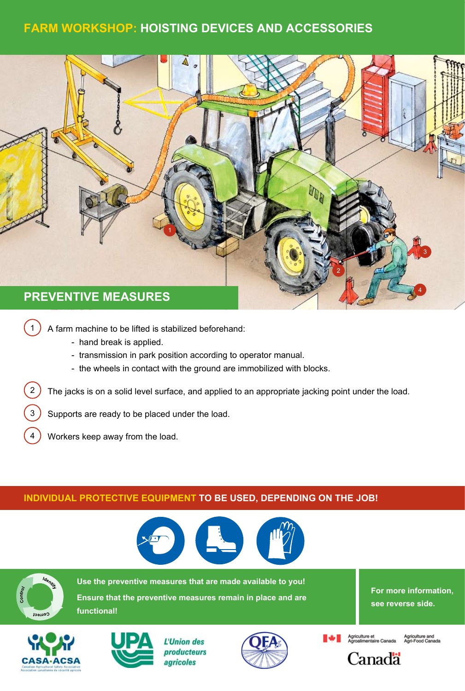# **Farm Workshop: hoisting devices and accessories**



- 1) A farm machine to be lifted is stabilized beforehand:
	- hand break is applied.
	- transmission in park position according to operator manual.
	- the wheels in contact with the ground are immobilized with blocks.

2) The jacks is on a solid level surface, and applied to an appropriate jacking point under the load.

- 3) Supports are ready to be placed under the load.
- 4 Workers keep away from the load.

tablier

**functional!**

## **Individual protective equipment to be used, depending on the job!**



botte lunette



Use the preventive measures that are made available to you! **Use the preventive measures that are made available to you! Ensure that the preventive measures remain in place and are** 

**For more information, see reverse side.**





L'Union des producteurs agricoles